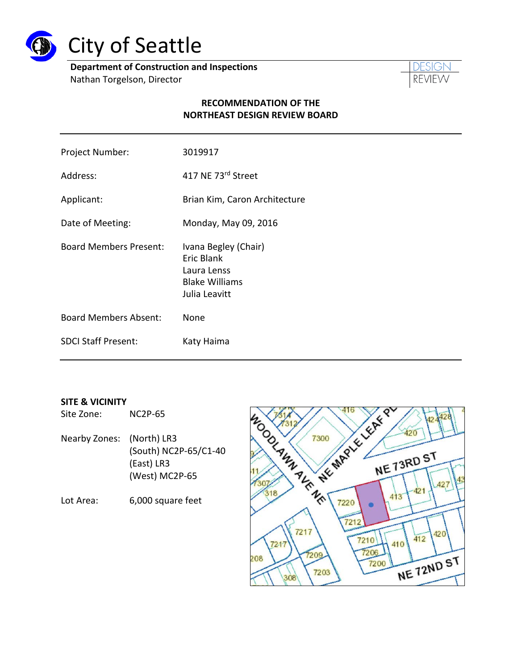

# City of Seattle

**Department of Construction and Inspections**

Nathan Torgelson, Director



# **RECOMMENDATION OF THE NORTHEAST DESIGN REVIEW BOARD**

| Project Number:               | 3019917                                                                                     |
|-------------------------------|---------------------------------------------------------------------------------------------|
| Address:                      | 417 NE 73rd Street                                                                          |
| Applicant:                    | Brian Kim, Caron Architecture                                                               |
| Date of Meeting:              | Monday, May 09, 2016                                                                        |
| <b>Board Members Present:</b> | Ivana Begley (Chair)<br>Eric Blank<br>Laura Lenss<br><b>Blake Williams</b><br>Julia Leavitt |
| <b>Board Members Absent:</b>  | None                                                                                        |
| <b>SDCI Staff Present:</b>    | Katy Haima                                                                                  |

#### **SITE & VICINITY**

Site Zone: NC2P-65

- Nearby Zones: (North) LR3 (South) NC2P-65/C1-40 (East) LR3 (West) MC2P-65
- Lot Area: 6,000 square feet

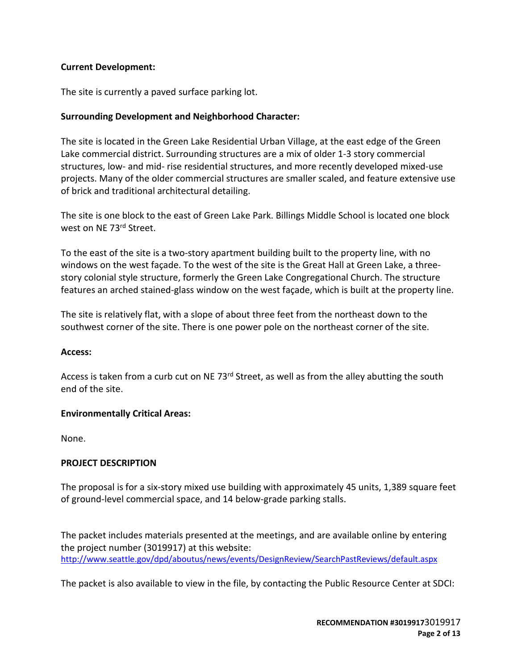## **Current Development:**

The site is currently a paved surface parking lot.

## **Surrounding Development and Neighborhood Character:**

The site is located in the Green Lake Residential Urban Village, at the east edge of the Green Lake commercial district. Surrounding structures are a mix of older 1-3 story commercial structures, low- and mid- rise residential structures, and more recently developed mixed-use projects. Many of the older commercial structures are smaller scaled, and feature extensive use of brick and traditional architectural detailing.

The site is one block to the east of Green Lake Park. Billings Middle School is located one block west on NE 73rd Street.

To the east of the site is a two-story apartment building built to the property line, with no windows on the west façade. To the west of the site is the Great Hall at Green Lake, a threestory colonial style structure, formerly the Green Lake Congregational Church. The structure features an arched stained-glass window on the west façade, which is built at the property line.

The site is relatively flat, with a slope of about three feet from the northeast down to the southwest corner of the site. There is one power pole on the northeast corner of the site.

## **Access:**

Access is taken from a curb cut on NE 73<sup>rd</sup> Street, as well as from the alley abutting the south end of the site.

## **Environmentally Critical Areas:**

None.

## **PROJECT DESCRIPTION**

The proposal is for a six-story mixed use building with approximately 45 units, 1,389 square feet of ground-level commercial space, and 14 below-grade parking stalls.

The packet includes materials presented at the meetings, and are available online by entering the project number (3019917) at this website: <http://www.seattle.gov/dpd/aboutus/news/events/DesignReview/SearchPastReviews/default.aspx>

The packet is also available to view in the file, by contacting the Public Resource Center at SDCI: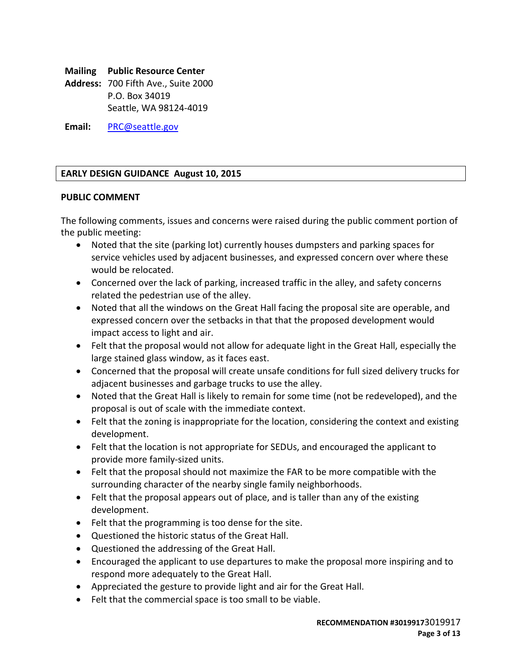# **Mailing Public Resource Center**

**Address:** 700 Fifth Ave., Suite 2000 P.O. Box 34019 Seattle, WA 98124-4019

**Email:** [PRC@seattle.gov](mailto:PRC@seattle.gov)

## **EARLY DESIGN GUIDANCE August 10, 2015**

## **PUBLIC COMMENT**

The following comments, issues and concerns were raised during the public comment portion of the public meeting:

- Noted that the site (parking lot) currently houses dumpsters and parking spaces for service vehicles used by adjacent businesses, and expressed concern over where these would be relocated.
- Concerned over the lack of parking, increased traffic in the alley, and safety concerns related the pedestrian use of the alley.
- Noted that all the windows on the Great Hall facing the proposal site are operable, and expressed concern over the setbacks in that that the proposed development would impact access to light and air.
- Felt that the proposal would not allow for adequate light in the Great Hall, especially the large stained glass window, as it faces east.
- Concerned that the proposal will create unsafe conditions for full sized delivery trucks for adjacent businesses and garbage trucks to use the alley.
- Noted that the Great Hall is likely to remain for some time (not be redeveloped), and the proposal is out of scale with the immediate context.
- Felt that the zoning is inappropriate for the location, considering the context and existing development.
- Felt that the location is not appropriate for SEDUs, and encouraged the applicant to provide more family-sized units.
- Felt that the proposal should not maximize the FAR to be more compatible with the surrounding character of the nearby single family neighborhoods.
- Felt that the proposal appears out of place, and is taller than any of the existing development.
- Felt that the programming is too dense for the site.
- Questioned the historic status of the Great Hall.
- Questioned the addressing of the Great Hall.
- Encouraged the applicant to use departures to make the proposal more inspiring and to respond more adequately to the Great Hall.
- Appreciated the gesture to provide light and air for the Great Hall.
- Felt that the commercial space is too small to be viable.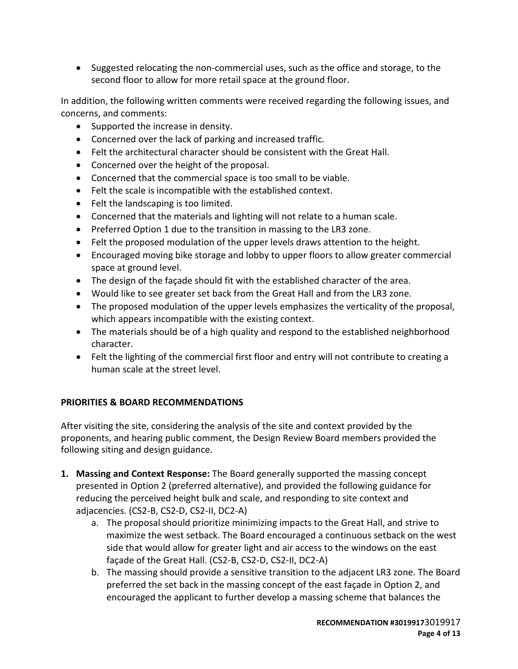• Suggested relocating the non-commercial uses, such as the office and storage, to the second floor to allow for more retail space at the ground floor.

In addition, the following written comments were received regarding the following issues, and concerns, and comments:

- Supported the increase in density.
- Concerned over the lack of parking and increased traffic.
- Felt the architectural character should be consistent with the Great Hall.
- Concerned over the height of the proposal.
- Concerned that the commercial space is too small to be viable.
- Felt the scale is incompatible with the established context.
- Felt the landscaping is too limited.
- Concerned that the materials and lighting will not relate to a human scale.
- Preferred Option 1 due to the transition in massing to the LR3 zone.
- Felt the proposed modulation of the upper levels draws attention to the height.
- Encouraged moving bike storage and lobby to upper floors to allow greater commercial space at ground level.
- The design of the façade should fit with the established character of the area.
- Would like to see greater set back from the Great Hall and from the LR3 zone.
- The proposed modulation of the upper levels emphasizes the verticality of the proposal, which appears incompatible with the existing context.
- The materials should be of a high quality and respond to the established neighborhood character.
- Felt the lighting of the commercial first floor and entry will not contribute to creating a human scale at the street level.

# **PRIORITIES & BOARD RECOMMENDATIONS**

After visiting the site, considering the analysis of the site and context provided by the proponents, and hearing public comment, the Design Review Board members provided the following siting and design guidance.

- **1. Massing and Context Response:** The Board generally supported the massing concept presented in Option 2 (preferred alternative), and provided the following guidance for reducing the perceived height bulk and scale, and responding to site context and adjacencies. (CS2-B, CS2-D, CS2-II, DC2-A)
	- a. The proposal should prioritize minimizing impacts to the Great Hall, and strive to maximize the west setback. The Board encouraged a continuous setback on the west side that would allow for greater light and air access to the windows on the east façade of the Great Hall. (CS2-B, CS2-D, CS2-II, DC2-A)
	- b. The massing should provide a sensitive transition to the adjacent LR3 zone. The Board preferred the set back in the massing concept of the east façade in Option 2, and encouraged the applicant to further develop a massing scheme that balances the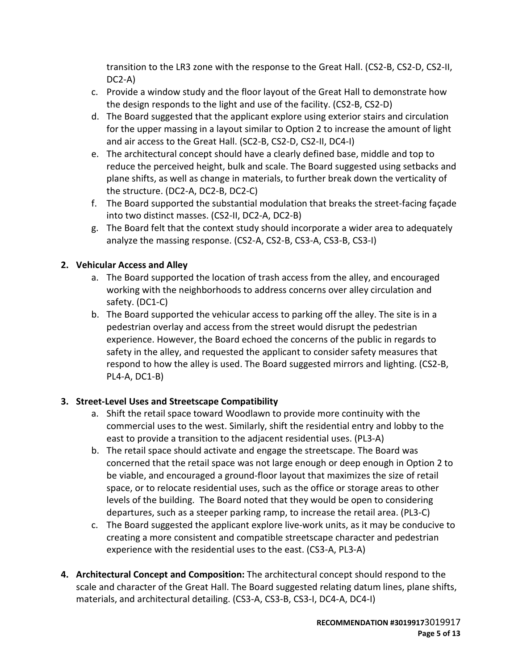transition to the LR3 zone with the response to the Great Hall. (CS2-B, CS2-D, CS2-II, DC2-A)

- c. Provide a window study and the floor layout of the Great Hall to demonstrate how the design responds to the light and use of the facility. (CS2-B, CS2-D)
- d. The Board suggested that the applicant explore using exterior stairs and circulation for the upper massing in a layout similar to Option 2 to increase the amount of light and air access to the Great Hall. (SC2-B, CS2-D, CS2-II, DC4-I)
- e. The architectural concept should have a clearly defined base, middle and top to reduce the perceived height, bulk and scale. The Board suggested using setbacks and plane shifts, as well as change in materials, to further break down the verticality of the structure. (DC2-A, DC2-B, DC2-C)
- f. The Board supported the substantial modulation that breaks the street-facing façade into two distinct masses. (CS2-II, DC2-A, DC2-B)
- g. The Board felt that the context study should incorporate a wider area to adequately analyze the massing response. (CS2-A, CS2-B, CS3-A, CS3-B, CS3-I)

# **2. Vehicular Access and Alley**

- a. The Board supported the location of trash access from the alley, and encouraged working with the neighborhoods to address concerns over alley circulation and safety. (DC1-C)
- b. The Board supported the vehicular access to parking off the alley. The site is in a pedestrian overlay and access from the street would disrupt the pedestrian experience. However, the Board echoed the concerns of the public in regards to safety in the alley, and requested the applicant to consider safety measures that respond to how the alley is used. The Board suggested mirrors and lighting. (CS2-B, PL4-A, DC1-B)

# **3. Street-Level Uses and Streetscape Compatibility**

- a. Shift the retail space toward Woodlawn to provide more continuity with the commercial uses to the west. Similarly, shift the residential entry and lobby to the east to provide a transition to the adjacent residential uses. (PL3-A)
- b. The retail space should activate and engage the streetscape. The Board was concerned that the retail space was not large enough or deep enough in Option 2 to be viable, and encouraged a ground-floor layout that maximizes the size of retail space, or to relocate residential uses, such as the office or storage areas to other levels of the building. The Board noted that they would be open to considering departures, such as a steeper parking ramp, to increase the retail area. (PL3-C)
- c. The Board suggested the applicant explore live-work units, as it may be conducive to creating a more consistent and compatible streetscape character and pedestrian experience with the residential uses to the east. (CS3-A, PL3-A)
- **4. Architectural Concept and Composition:** The architectural concept should respond to the scale and character of the Great Hall. The Board suggested relating datum lines, plane shifts, materials, and architectural detailing. (CS3-A, CS3-B, CS3-I, DC4-A, DC4-I)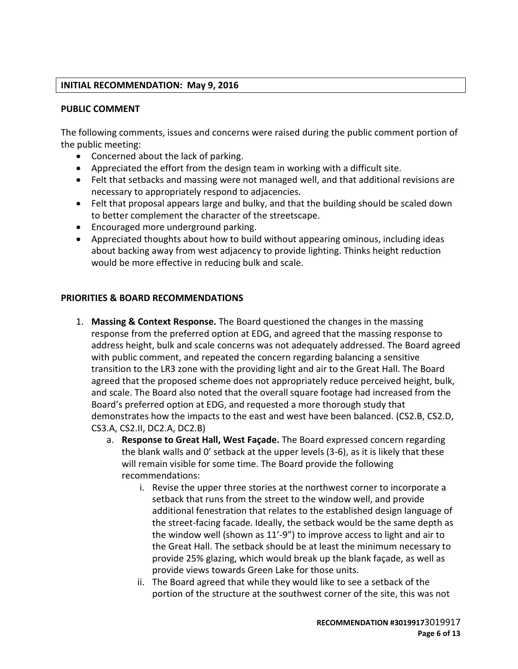## **INITIAL RECOMMENDATION: May 9, 2016**

## **PUBLIC COMMENT**

The following comments, issues and concerns were raised during the public comment portion of the public meeting:

- Concerned about the lack of parking.
- Appreciated the effort from the design team in working with a difficult site.
- Felt that setbacks and massing were not managed well, and that additional revisions are necessary to appropriately respond to adjacencies.
- Felt that proposal appears large and bulky, and that the building should be scaled down to better complement the character of the streetscape.
- Encouraged more underground parking.
- Appreciated thoughts about how to build without appearing ominous, including ideas about backing away from west adjacency to provide lighting. Thinks height reduction would be more effective in reducing bulk and scale.

#### **PRIORITIES & BOARD RECOMMENDATIONS**

- 1. **Massing & Context Response.** The Board questioned the changes in the massing response from the preferred option at EDG, and agreed that the massing response to address height, bulk and scale concerns was not adequately addressed. The Board agreed with public comment, and repeated the concern regarding balancing a sensitive transition to the LR3 zone with the providing light and air to the Great Hall. The Board agreed that the proposed scheme does not appropriately reduce perceived height, bulk, and scale. The Board also noted that the overall square footage had increased from the Board's preferred option at EDG, and requested a more thorough study that demonstrates how the impacts to the east and west have been balanced. (CS2.B, CS2.D, CS3.A, CS2.II, DC2.A, DC2.B)
	- a. **Response to Great Hall, West Façade.** The Board expressed concern regarding the blank walls and 0' setback at the upper levels (3-6), as it is likely that these will remain visible for some time. The Board provide the following recommendations:
		- i. Revise the upper three stories at the northwest corner to incorporate a setback that runs from the street to the window well, and provide additional fenestration that relates to the established design language of the street-facing facade. Ideally, the setback would be the same depth as the window well (shown as 11'-9") to improve access to light and air to the Great Hall. The setback should be at least the minimum necessary to provide 25% glazing, which would break up the blank façade, as well as provide views towards Green Lake for those units.
		- ii. The Board agreed that while they would like to see a setback of the portion of the structure at the southwest corner of the site, this was not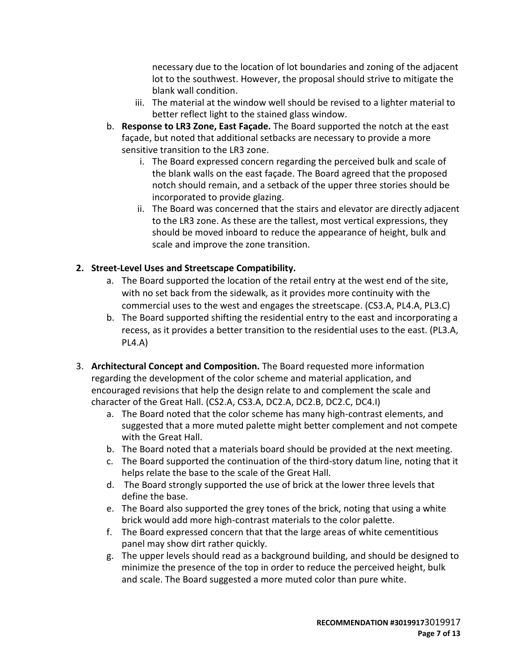necessary due to the location of lot boundaries and zoning of the adjacent lot to the southwest. However, the proposal should strive to mitigate the blank wall condition.

- iii. The material at the window well should be revised to a lighter material to better reflect light to the stained glass window.
- b. **Response to LR3 Zone, East Façade.** The Board supported the notch at the east façade, but noted that additional setbacks are necessary to provide a more sensitive transition to the LR3 zone.
	- i. The Board expressed concern regarding the perceived bulk and scale of the blank walls on the east façade. The Board agreed that the proposed notch should remain, and a setback of the upper three stories should be incorporated to provide glazing.
	- ii. The Board was concerned that the stairs and elevator are directly adjacent to the LR3 zone. As these are the tallest, most vertical expressions, they should be moved inboard to reduce the appearance of height, bulk and scale and improve the zone transition.

# **2. Street-Level Uses and Streetscape Compatibility.**

- a. The Board supported the location of the retail entry at the west end of the site, with no set back from the sidewalk, as it provides more continuity with the commercial uses to the west and engages the streetscape. (CS3.A, PL4.A, PL3.C)
- b. The Board supported shifting the residential entry to the east and incorporating a recess, as it provides a better transition to the residential uses to the east. (PL3.A, PL4.A)
- 3. **Architectural Concept and Composition.** The Board requested more information regarding the development of the color scheme and material application, and encouraged revisions that help the design relate to and complement the scale and character of the Great Hall. (CS2.A, CS3.A, DC2.A, DC2.B, DC2.C, DC4.I)
	- a. The Board noted that the color scheme has many high-contrast elements, and suggested that a more muted palette might better complement and not compete with the Great Hall.
	- b. The Board noted that a materials board should be provided at the next meeting.
	- c. The Board supported the continuation of the third-story datum line, noting that it helps relate the base to the scale of the Great Hall.
	- d. The Board strongly supported the use of brick at the lower three levels that define the base.
	- e. The Board also supported the grey tones of the brick, noting that using a white brick would add more high-contrast materials to the color palette.
	- f. The Board expressed concern that that the large areas of white cementitious panel may show dirt rather quickly.
	- g. The upper levels should read as a background building, and should be designed to minimize the presence of the top in order to reduce the perceived height, bulk and scale. The Board suggested a more muted color than pure white.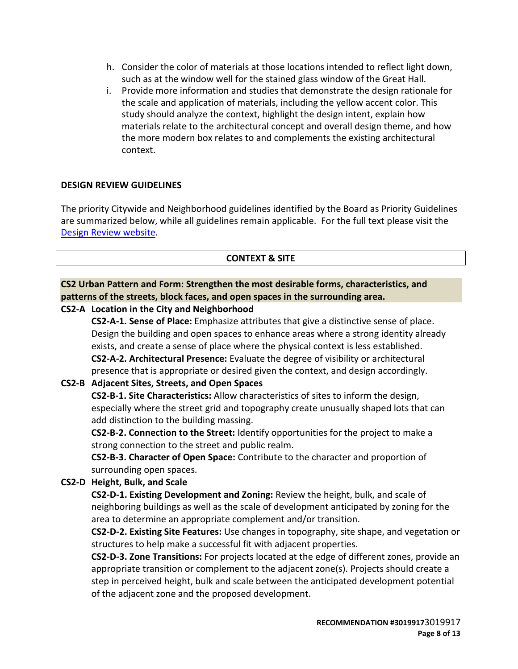- h. Consider the color of materials at those locations intended to reflect light down, such as at the window well for the stained glass window of the Great Hall.
- i. Provide more information and studies that demonstrate the design rationale for the scale and application of materials, including the yellow accent color. This study should analyze the context, highlight the design intent, explain how materials relate to the architectural concept and overall design theme, and how the more modern box relates to and complements the existing architectural context.

## **DESIGN REVIEW GUIDELINES**

The priority Citywide and Neighborhood guidelines identified by the Board as Priority Guidelines are summarized below, while all guidelines remain applicable. For the full text please visit the [Design Review website.](https://www.seattle.gov/dpd/aboutus/whoweare/designreview/designguidelines/default.htm)

## **CONTEXT & SITE**

**CS2 Urban Pattern and Form: Strengthen the most desirable forms, characteristics, and patterns of the streets, block faces, and open spaces in the surrounding area.**

## **CS2-A Location in the City and Neighborhood**

**CS2-A-1. Sense of Place:** Emphasize attributes that give a distinctive sense of place. Design the building and open spaces to enhance areas where a strong identity already exists, and create a sense of place where the physical context is less established. **CS2-A-2. Architectural Presence:** Evaluate the degree of visibility or architectural presence that is appropriate or desired given the context, and design accordingly.

# **CS2-B Adjacent Sites, Streets, and Open Spaces**

**CS2-B-1. Site Characteristics:** Allow characteristics of sites to inform the design, especially where the street grid and topography create unusually shaped lots that can add distinction to the building massing.

**CS2-B-2. Connection to the Street:** Identify opportunities for the project to make a strong connection to the street and public realm.

**CS2-B-3. Character of Open Space:** Contribute to the character and proportion of surrounding open spaces.

## **CS2-D Height, Bulk, and Scale**

**CS2-D-1. Existing Development and Zoning:** Review the height, bulk, and scale of neighboring buildings as well as the scale of development anticipated by zoning for the area to determine an appropriate complement and/or transition.

**CS2-D-2. Existing Site Features:** Use changes in topography, site shape, and vegetation or structures to help make a successful fit with adjacent properties.

**CS2-D-3. Zone Transitions:** For projects located at the edge of different zones, provide an appropriate transition or complement to the adjacent zone(s). Projects should create a step in perceived height, bulk and scale between the anticipated development potential of the adjacent zone and the proposed development.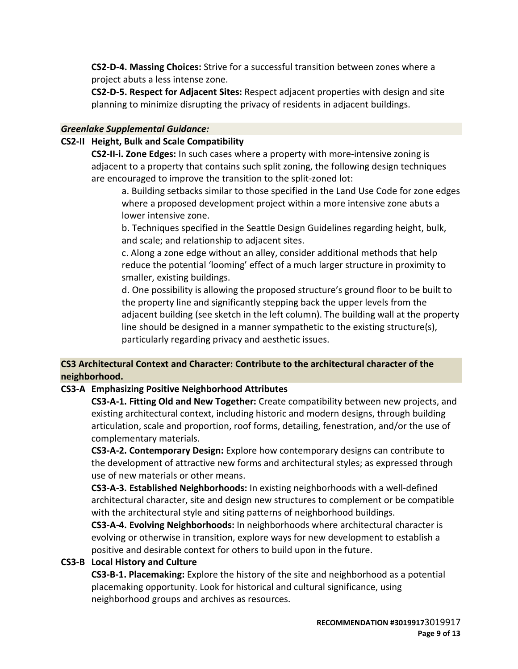**CS2-D-4. Massing Choices:** Strive for a successful transition between zones where a project abuts a less intense zone.

**CS2-D-5. Respect for Adjacent Sites:** Respect adjacent properties with design and site planning to minimize disrupting the privacy of residents in adjacent buildings.

## *Greenlake Supplemental Guidance:*

## **CS2-II Height, Bulk and Scale Compatibility**

**CS2-II-i. Zone Edges:** In such cases where a property with more-intensive zoning is adjacent to a property that contains such split zoning, the following design techniques are encouraged to improve the transition to the split-zoned lot:

a. Building setbacks similar to those specified in the Land Use Code for zone edges where a proposed development project within a more intensive zone abuts a lower intensive zone.

b. Techniques specified in the Seattle Design Guidelines regarding height, bulk, and scale; and relationship to adjacent sites.

c. Along a zone edge without an alley, consider additional methods that help reduce the potential 'looming' effect of a much larger structure in proximity to smaller, existing buildings.

d. One possibility is allowing the proposed structure's ground floor to be built to the property line and significantly stepping back the upper levels from the adjacent building (see sketch in the left column). The building wall at the property line should be designed in a manner sympathetic to the existing structure(s), particularly regarding privacy and aesthetic issues.

# **CS3 Architectural Context and Character: Contribute to the architectural character of the neighborhood.**

# **CS3-A Emphasizing Positive Neighborhood Attributes**

**CS3-A-1. Fitting Old and New Together:** Create compatibility between new projects, and existing architectural context, including historic and modern designs, through building articulation, scale and proportion, roof forms, detailing, fenestration, and/or the use of complementary materials.

**CS3-A-2. Contemporary Design:** Explore how contemporary designs can contribute to the development of attractive new forms and architectural styles; as expressed through use of new materials or other means.

**CS3-A-3. Established Neighborhoods:** In existing neighborhoods with a well-defined architectural character, site and design new structures to complement or be compatible with the architectural style and siting patterns of neighborhood buildings.

**CS3-A-4. Evolving Neighborhoods:** In neighborhoods where architectural character is evolving or otherwise in transition, explore ways for new development to establish a positive and desirable context for others to build upon in the future.

# **CS3-B Local History and Culture**

**CS3-B-1. Placemaking:** Explore the history of the site and neighborhood as a potential placemaking opportunity. Look for historical and cultural significance, using neighborhood groups and archives as resources.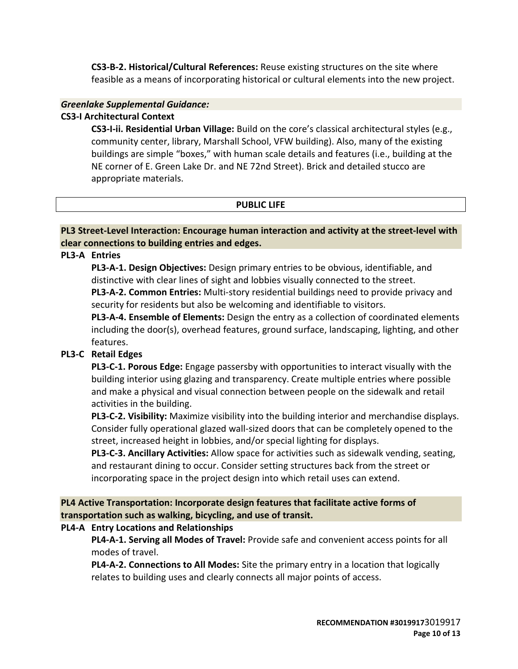**CS3-B-2. Historical/Cultural References:** Reuse existing structures on the site where feasible as a means of incorporating historical or cultural elements into the new project.

## *Greenlake Supplemental Guidance:*

## **CS3-I Architectural Context**

**CS3-I-ii. Residential Urban Village:** Build on the core's classical architectural styles (e.g., community center, library, Marshall School, VFW building). Also, many of the existing buildings are simple "boxes," with human scale details and features (i.e., building at the NE corner of E. Green Lake Dr. and NE 72nd Street). Brick and detailed stucco are appropriate materials.

## **PUBLIC LIFE**

**PL3 Street-Level Interaction: Encourage human interaction and activity at the street-level with clear connections to building entries and edges.**

## **PL3-A Entries**

**PL3-A-1. Design Objectives:** Design primary entries to be obvious, identifiable, and distinctive with clear lines of sight and lobbies visually connected to the street.

**PL3-A-2. Common Entries:** Multi-story residential buildings need to provide privacy and security for residents but also be welcoming and identifiable to visitors.

**PL3-A-4. Ensemble of Elements:** Design the entry as a collection of coordinated elements including the door(s), overhead features, ground surface, landscaping, lighting, and other features.

# **PL3-C Retail Edges**

**PL3-C-1. Porous Edge:** Engage passersby with opportunities to interact visually with the building interior using glazing and transparency. Create multiple entries where possible and make a physical and visual connection between people on the sidewalk and retail activities in the building.

**PL3-C-2. Visibility:** Maximize visibility into the building interior and merchandise displays. Consider fully operational glazed wall-sized doors that can be completely opened to the street, increased height in lobbies, and/or special lighting for displays.

**PL3-C-3. Ancillary Activities:** Allow space for activities such as sidewalk vending, seating, and restaurant dining to occur. Consider setting structures back from the street or incorporating space in the project design into which retail uses can extend.

**PL4 Active Transportation: Incorporate design features that facilitate active forms of transportation such as walking, bicycling, and use of transit.**

# **PL4-A Entry Locations and Relationships**

**PL4-A-1. Serving all Modes of Travel:** Provide safe and convenient access points for all modes of travel.

**PL4-A-2. Connections to All Modes:** Site the primary entry in a location that logically relates to building uses and clearly connects all major points of access.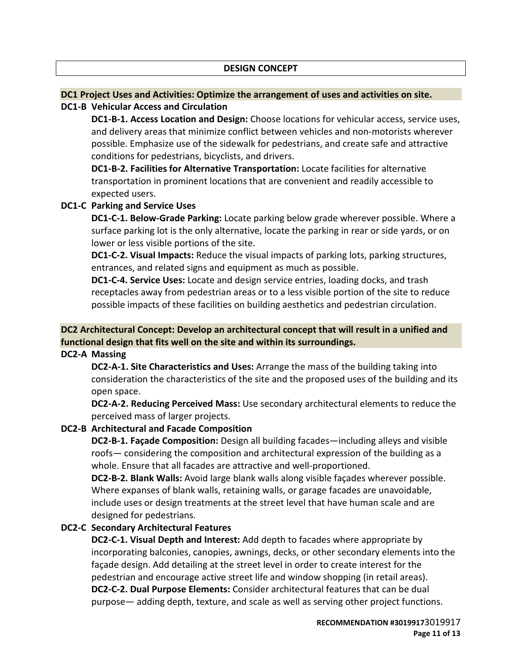## **DC1 Project Uses and Activities: Optimize the arrangement of uses and activities on site.**

## **DC1-B Vehicular Access and Circulation**

**DC1-B-1. Access Location and Design:** Choose locations for vehicular access, service uses, and delivery areas that minimize conflict between vehicles and non-motorists wherever possible. Emphasize use of the sidewalk for pedestrians, and create safe and attractive conditions for pedestrians, bicyclists, and drivers.

**DC1-B-2. Facilities for Alternative Transportation:** Locate facilities for alternative transportation in prominent locations that are convenient and readily accessible to expected users.

## **DC1-C Parking and Service Uses**

**DC1-C-1. Below-Grade Parking:** Locate parking below grade wherever possible. Where a surface parking lot is the only alternative, locate the parking in rear or side yards, or on lower or less visible portions of the site.

**DC1-C-2. Visual Impacts:** Reduce the visual impacts of parking lots, parking structures, entrances, and related signs and equipment as much as possible.

**DC1-C-4. Service Uses:** Locate and design service entries, loading docks, and trash receptacles away from pedestrian areas or to a less visible portion of the site to reduce possible impacts of these facilities on building aesthetics and pedestrian circulation.

# **DC2 Architectural Concept: Develop an architectural concept that will result in a unified and functional design that fits well on the site and within its surroundings.**

**DC2-A Massing**

**DC2-A-1. Site Characteristics and Uses:** Arrange the mass of the building taking into consideration the characteristics of the site and the proposed uses of the building and its open space.

**DC2-A-2. Reducing Perceived Mass:** Use secondary architectural elements to reduce the perceived mass of larger projects.

# **DC2-B Architectural and Facade Composition**

**DC2-B-1. Façade Composition:** Design all building facades—including alleys and visible roofs— considering the composition and architectural expression of the building as a whole. Ensure that all facades are attractive and well-proportioned.

**DC2-B-2. Blank Walls:** Avoid large blank walls along visible façades wherever possible. Where expanses of blank walls, retaining walls, or garage facades are unavoidable, include uses or design treatments at the street level that have human scale and are designed for pedestrians.

# **DC2-C Secondary Architectural Features**

**DC2-C-1. Visual Depth and Interest:** Add depth to facades where appropriate by incorporating balconies, canopies, awnings, decks, or other secondary elements into the façade design. Add detailing at the street level in order to create interest for the pedestrian and encourage active street life and window shopping (in retail areas). **DC2-C-2. Dual Purpose Elements:** Consider architectural features that can be dual purpose— adding depth, texture, and scale as well as serving other project functions.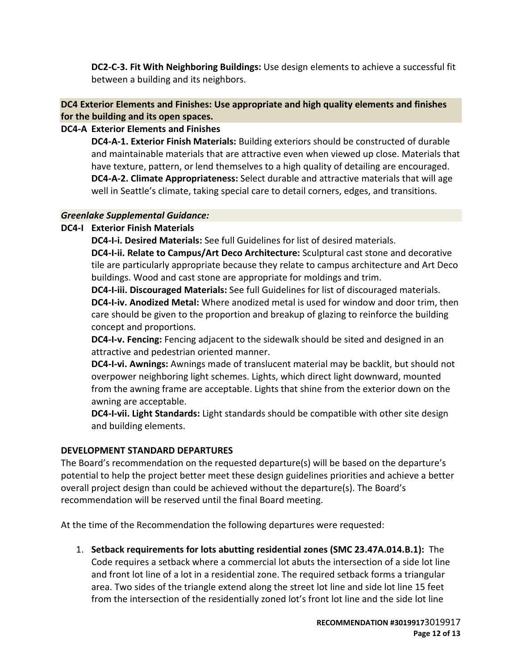**DC2-C-3. Fit With Neighboring Buildings:** Use design elements to achieve a successful fit between a building and its neighbors.

# **DC4 Exterior Elements and Finishes: Use appropriate and high quality elements and finishes for the building and its open spaces.**

# **DC4-A Exterior Elements and Finishes**

**DC4-A-1. Exterior Finish Materials:** Building exteriors should be constructed of durable and maintainable materials that are attractive even when viewed up close. Materials that have texture, pattern, or lend themselves to a high quality of detailing are encouraged. **DC4-A-2. Climate Appropriateness:** Select durable and attractive materials that will age well in Seattle's climate, taking special care to detail corners, edges, and transitions.

## *Greenlake Supplemental Guidance:*

# **DC4-I Exterior Finish Materials**

**DC4-I-i. Desired Materials:** See full Guidelines for list of desired materials.

**DC4-I-ii. Relate to Campus/Art Deco Architecture:** Sculptural cast stone and decorative tile are particularly appropriate because they relate to campus architecture and Art Deco buildings. Wood and cast stone are appropriate for moldings and trim.

**DC4-I-iii. Discouraged Materials:** See full Guidelines for list of discouraged materials. **DC4-I-iv. Anodized Metal:** Where anodized metal is used for window and door trim, then care should be given to the proportion and breakup of glazing to reinforce the building concept and proportions.

**DC4-I-v. Fencing:** Fencing adjacent to the sidewalk should be sited and designed in an attractive and pedestrian oriented manner.

**DC4-I-vi. Awnings:** Awnings made of translucent material may be backlit, but should not overpower neighboring light schemes. Lights, which direct light downward, mounted from the awning frame are acceptable. Lights that shine from the exterior down on the awning are acceptable.

**DC4-I-vii. Light Standards:** Light standards should be compatible with other site design and building elements.

# **DEVELOPMENT STANDARD DEPARTURES**

The Board's recommendation on the requested departure(s) will be based on the departure's potential to help the project better meet these design guidelines priorities and achieve a better overall project design than could be achieved without the departure(s). The Board's recommendation will be reserved until the final Board meeting.

At the time of the Recommendation the following departures were requested:

1. **Setback requirements for lots abutting residential zones (SMC 23.47A.014.B.1):** The Code requires a setback where a commercial lot abuts the intersection of a side lot line and front lot line of a lot in a residential zone. The required setback forms a triangular area. Two sides of the triangle extend along the street lot line and side lot line 15 feet from the intersection of the residentially zoned lot's front lot line and the side lot line